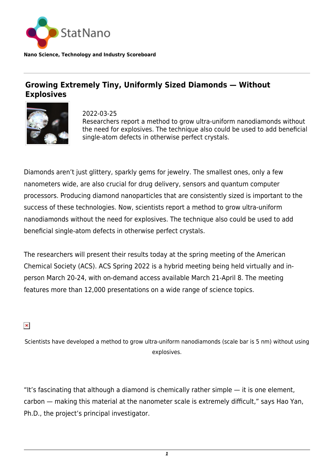

**Nano Science, Technology and Industry Scoreboard**

## **Growing Extremely Tiny, Uniformly Sized Diamonds — Without Explosives**



2022-03-25 Researchers report a method to grow ultra-uniform nanodiamonds without the need for explosives. The technique also could be used to add beneficial single-atom defects in otherwise perfect crystals.

Diamonds aren't just glittery, sparkly gems for jewelry. The smallest ones, only a few nanometers wide, are also crucial for drug delivery, sensors and quantum computer processors. Producing diamond nanoparticles that are consistently sized is important to the success of these technologies. Now, scientists report a method to grow ultra-uniform nanodiamonds without the need for explosives. The technique also could be used to add beneficial single-atom defects in otherwise perfect crystals.

The researchers will present their results today at the spring meeting of the American Chemical Society (ACS). ACS Spring 2022 is a hybrid meeting being held virtually and inperson March 20-24, with on-demand access available March 21-April 8. The meeting features more than 12,000 presentations on a wide range of science topics.

 $\pmb{\times}$ 

Scientists have developed a method to grow ultra-uniform nanodiamonds (scale bar is 5 nm) without using explosives.

"It's fascinating that although a diamond is chemically rather simple  $-$  it is one element, carbon — making this material at the nanometer scale is extremely difficult," says Hao Yan, Ph.D., the project's principal investigator.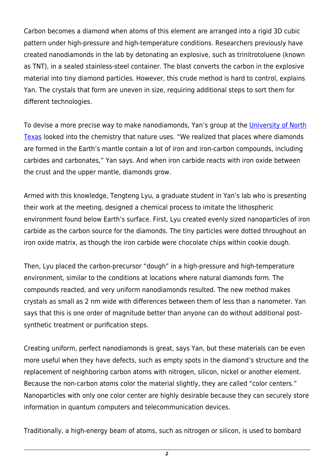Carbon becomes a diamond when atoms of this element are arranged into a rigid 3D cubic pattern under high-pressure and high-temperature conditions. Researchers previously have created nanodiamonds in the lab by detonating an explosive, such as trinitrotoluene (known as TNT), in a sealed stainless-steel container. The blast converts the carbon in the explosive material into tiny diamond particles. However, this crude method is hard to control, explains Yan. The crystals that form are uneven in size, requiring additional steps to sort them for different technologies.

To devise a more precise way to make nanodiamonds, Yan's group at the [University of North](https://statnano.com/org/University-of-North-Texas-System) [Texas](https://statnano.com/org/University-of-North-Texas-System) looked into the chemistry that nature uses. "We realized that places where diamonds are formed in the Earth's mantle contain a lot of iron and iron-carbon compounds, including carbides and carbonates," Yan says. And when iron carbide reacts with iron oxide between the crust and the upper mantle, diamonds grow.

Armed with this knowledge, Tengteng Lyu, a graduate student in Yan's lab who is presenting their work at the meeting, designed a chemical process to imitate the lithospheric environment found below Earth's surface. First, Lyu created evenly sized nanoparticles of iron carbide as the carbon source for the diamonds. The tiny particles were dotted throughout an iron oxide matrix, as though the iron carbide were chocolate chips within cookie dough.

Then, Lyu placed the carbon-precursor "dough" in a high-pressure and high-temperature environment, similar to the conditions at locations where natural diamonds form. The compounds reacted, and very uniform nanodiamonds resulted. The new method makes crystals as small as 2 nm wide with differences between them of less than a nanometer. Yan says that this is one order of magnitude better than anyone can do without additional postsynthetic treatment or purification steps.

Creating uniform, perfect nanodiamonds is great, says Yan, but these materials can be even more useful when they have defects, such as empty spots in the diamond's structure and the replacement of neighboring carbon atoms with nitrogen, silicon, nickel or another element. Because the non-carbon atoms color the material slightly, they are called "color centers." Nanoparticles with only one color center are highly desirable because they can securely store information in quantum computers and telecommunication devices.

Traditionally, a high-energy beam of atoms, such as nitrogen or silicon, is used to bombard

*2*